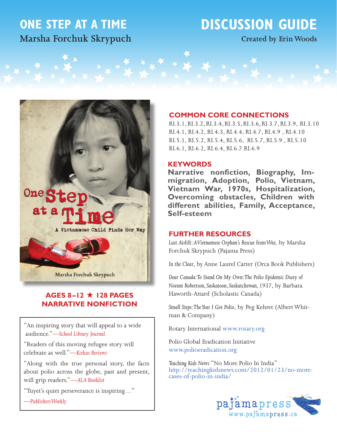# **ONE STEP AT A TIME Marsha Forchuk Skrypuch**

# **DISCUSSION GUIDE**

**Created by Erin Woods**



# **AGES 8-12 ★ 128 PAGES NARRATIVE NONFICTION**

"An inspiring story that will appeal to a wide audience."*—School Library Journal*

"Readers of this moving refugee story will celebrate as well."*—Kirkus Reviews*

"Along with the true personal story, the facts about polio across the globe, past and present, will grip readers."—*ALA Booklist*

"Tuyet's quiet perseverance is inspiring…"

*—Publishers Weekly*

# **COMMON CORE CONNECTIONS**

RI.3.1, RI.3.2, RI.3.4, RI.3.5, RI.3.6, RI.3.7, RI.3.9, RI.3.10 RI.4.1, RI.4.2, RI.4.3, RI.4.4, RI.4.7, RI.4.9 , RI.4.10 RI.5.1, RI.5.2, RI.5.4, RI.5.6, RI.5.7, RI.5.9 , RI.5.10 RI.6.1, RI.6.2, RI.6.4, RI.6.7 RI.6.9

# **KEYWORDS**

**Narrative nonfiction, Biography, Immigration, Adoption, Polio, Vietnam, Vietnam War, 1970s, Hospitalization, Overcoming obstacles, Children with different abilities, Family, Acceptance, Self-esteem**

# **FURTHER RESOURCES**

*Last Airlift: A Vietnamese Orphan's Rescue from War,* by Marsha Forchuk Skrypuch (Pajama Press)

*In the Clear*, by Anne Laurel Carter (Orca Book Publishers)

*Dear Canada: To Stand On My Own: The Polio Epidemic Diary of Noreen Robertson, Saskatoon, Saskatchewan, 1937*, by Barbara Haworth-Attard (Scholastic Canada)

*Small Steps: The Year I Got Polio*, by Peg Kehret (Albert Whitman & Company)

Rotary International<www.rotary.org>

Polio Global Eradication Initiative <www.polioeradication.org>

*Teaching Kids News* "No More Polio In India" [http://teachingkidsnews.com/2012/01/23/no-](http://teachingkidsnews.com/2012/01/23/no)morecases-of-polio-in-india/

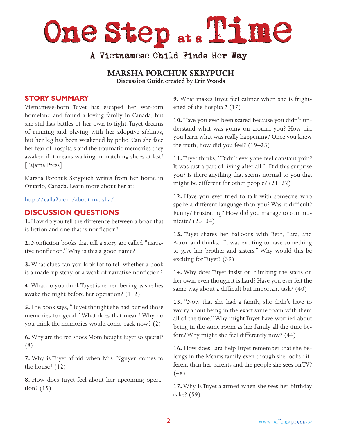One Step ... Time

# A Vietnamese Child Finds Her Way

**MARSHA FORCHUK SKRYPUCH Discussion Guide created by Erin Woods**

# **STORY SUMMARY**

Vietnamese-born Tuyet has escaped her war-torn homeland and found a loving family in Canada, but she still has battles of her own to fight. Tuyet dreams of running and playing with her adoptive siblings, but her leg has been weakened by polio. Can she face her fear of hospitals and the traumatic memories they awaken if it means walking in matching shoes at last? [Pajama Press]

Marsha Forchuk Skrypuch writes from her home in Ontario, Canada. Learn more about her at:

[http://calla2.com/about-](http://calla2.com/about)marsha/

# **DISCUSSION QUESTIONS**

**1.** How do you tell the difference between a book that is fiction and one that is nonfiction?

**2.** Nonfiction books that tell a story are called "narrative nonfiction." Why is this a good name?

**3.** What clues can you look for to tell whether a book is a made-up story or a work of narrative nonfiction?

**4.** What do you think Tuyet is remembering as she lies awake the night before her operation?  $(1-2)$ 

**5.** The book says, "Tuyet thought she had buried those memories for good." What does that mean? Why do you think the memories would come back now? (2)

**6.** Why are the red shoes Mom bought Tuyet so special? (8)

**7.** Why is Tuyet afraid when Mrs. Nguyen comes to the house? (12)

**8.** How does Tuyet feel about her upcoming operation? (15)

**9.** What makes Tuyet feel calmer when she is frightened of the hospital? (17)

**10.** Have you ever been scared because you didn't understand what was going on around you? How did you learn what was really happening? Once you knew the truth, how did you feel? (19–23)

**11.** Tuyet thinks, "Didn't everyone feel constant pain? It was just a part of living after all." Did this surprise you? Is there anything that seems normal to you that might be different for other people? (21–22)

**12.** Have you ever tried to talk with someone who spoke a different language than you? Was it difficult? Funny? Frustrating? How did you manage to communicate? (25–34)

**13.** Tuyet shares her balloons with Beth, Lara, and Aaron and thinks, "It was exciting to have something to give her brother and sisters." Why would this be exciting for Tuyet? (39)

**14.** Why does Tuyet insist on climbing the stairs on her own, even though it is hard? Have you ever felt the same way about a difficult but important task? (40)

**15.** "Now that she had a family, she didn't have to worry about being in the exact same room with them all of the time." Why might Tuyet have worried about being in the same room as her family all the time before? Why might she feel differently now? (44)

**16.** How does Lara help Tuyet remember that she belongs in the Morris family even though she looks different than her parents and the people she sees on TV? (48)

**17.** Why is Tuyet alarmed when she sees her birthday cake? (59)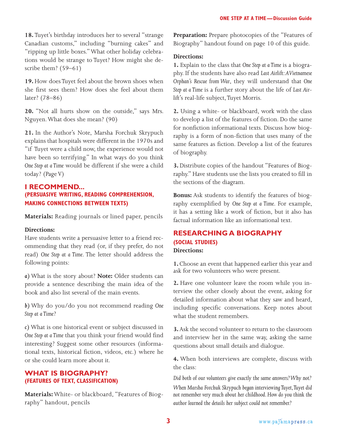**18.** Tuyet's birthday introduces her to several "strange Canadian customs," including "burning cakes" and "ripping up little boxes." What other holiday celebrations would be strange to Tuyet? How might she describe them? (59–61)

**19.** How does Tuyet feel about the brown shoes when she first sees them? How does she feel about them later? (78–86)

**20.** "Not all hurts show on the outside," says Mrs. Nguyen. What does she mean? (90)

**21.** In the Author's Note, Marsha Forchuk Skrypuch explains that hospitals were different in the 1970s and "if Tuyet were a child now, the experience would not have been so terrifying." In what ways do you think *One Step at a Time* would be different if she were a child today? (Page V)

# **I RECOMMEND... (PERSUASIVE WRITING, READING COMPREHENSION, MAKING CONNECTIONS BETWEEN TEXTS)**

**Materials:** Reading journals or lined paper, pencils

# **Directions:**

Have students write a persuasive letter to a friend recommending that they read (or, if they prefer, do not read) *One Step at a Time*. The letter should address the following points:

*a)* What is the story about? **Note:** Older students can provide a sentence describing the main idea of the book and also list several of the main events.

*b)* Why do you/do you not recommend reading *One Step at a Time*?

*c)* What is one historical event or subject discussed in *One Step at a Time* that you think your friend would find interesting? Suggest some other resources (informational texts, historical fiction, videos, etc.) where he or she could learn more about it.

# **WHAT IS BIOGRAPHY? (FEATURES OF TEXT, CLASSIFICATION)**

**Materials:** White- or blackboard, "Features of Biography" handout, pencils

**Preparation:** Prepare photocopies of the "Features of Biography" handout found on page 10 of this guide.

# **Directions:**

**1.** Explain to the class that *One Step at a Time* is a biography. If the students have also read *Last Airlift: A Vietnamese Orphan's Rescue from War*, they will understand that *One Step at a Time* is a further story about the life of *Last Airlift*'s real-life subject, Tuyet Morris.

**2.** Using a white- or blackboard, work with the class to develop a list of the features of fiction. Do the same for nonfiction informational texts. Discuss how biography is a form of non-fiction that uses many of the same features as fiction. Develop a list of the features of biography.

**3.** Distribute copies of the handout "Features of Biography." Have students use the lists you created to fill in the sections of the diagram.

**Bonus:** Ask students to identify the features of biography exemplified by *One Step at a Time*. For example, it has a setting like a work of fiction, but it also has factual information like an informational text.

# **RESEARCHING A BIOGRAPHY (SOCIAL STUDIES) Directions:**

**1.** Choose an event that happened earlier this year and ask for two volunteers who were present.

**2.** Have one volunteer leave the room while you interview the other closely about the event, asking for detailed information about what they saw and heard, including specific conversations. Keep notes about what the student remembers.

**3.** Ask the second volunteer to return to the classroom and interview her in the same way, asking the same questions about small details and dialogue.

**4.** When both interviews are complete, discuss with the class:

*Did both of our volunteers give exactly the same answers? Why not?*

*When Marsha Forchuk Skrypuch began interviewing Tuyet, Tuyet did not remember very much about her childhood. How do you think the author learned the details her subject could not remember?*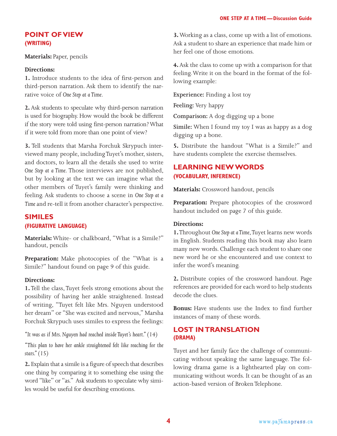# **POINT OF VIEW (WRITING)**

**Materials:** Paper, pencils

# **Directions:**

**1.** Introduce students to the idea of first-person and third-person narration. Ask them to identify the narrative voice of *One Step at a Time*.

**2.** Ask students to speculate why third-person narration is used for biography. How would the book be different if the story were told using first-person narration? What if it were told from more than one point of view?

**3.** Tell students that Marsha Forchuk Skrypuch interviewed many people, including Tuyet's mother, sisters, and doctors, to learn all the details she used to write *One Step at a Time.* Those interviews are not published, but by looking at the text we can imagine what the other members of Tuyet's family were thinking and feeling. Ask students to choose a scene in *One Step at a Time* and re-tell it from another character's perspective.

# **SIMILES (FIGURATIVE LANGUAGE)**

**Materials:** White- or chalkboard, "What is a Simile?" handout, pencils

**Preparation:** Make photocopies of the "What is a Simile?" handout found on page 9 of this guide.

# **Directions:**

**1.** Tell the class, Tuyet feels strong emotions about the possibility of having her ankle straightened. Instead of writing, "Tuyet felt like Mrs. Nguyen understood her dream" or "She was excited and nervous," Marsha Forchuk Skrypuch uses similes to express the feelings:

*"It was as if Mrs. Nguyen had reached inside Tuyet's heart." (14)* 

*"This plan to have her ankle straightened felt like reaching for the stars." (15)*

**2.** Explain that a simile is a figure of speech that describes one thing by comparing it to something else using the word "like" or "as." Ask students to speculate why similes would be useful for describing emotions.

**3.** Working as a class, come up with a list of emotions. Ask a student to share an experience that made him or her feel one of those emotions.

**4.** Ask the class to come up with a comparison for that feeling. Write it on the board in the format of the following example:

**Experience:** Finding a lost toy

**Feeling:** Very happy

**Comparison:** A dog digging up a bone

**Simile:** When I found my toy I was as happy as a dog digging up a bone.

**5.** Distribute the handout "What is a Simile?" and have students complete the exercise themselves.

# **LEARNING NEW WORDS (VOCABULARY, INFERENCE)**

**Materials:** Crossword handout, pencils

**Preparation:** Prepare photocopies of the crossword handout included on page 7 of this guide.

# **Directions:**

**1.** Throughout *One Step at a Time*, Tuyet learns new words in English. Students reading this book may also learn many new words. Challenge each student to share one new word he or she encountered and use context to infer the word's meaning.

**2.** Distribute copies of the crossword handout. Page references are provided for each word to help students decode the clues.

**Bonus:** Have students use the Index to find further instances of many of these words.

# **LOST IN TRANSLATION (DRAMA)**

Tuyet and her family face the challenge of communicating without speaking the same language. The following drama game is a lighthearted play on communicating without words. It can be thought of as an action-based version of Broken Telephone.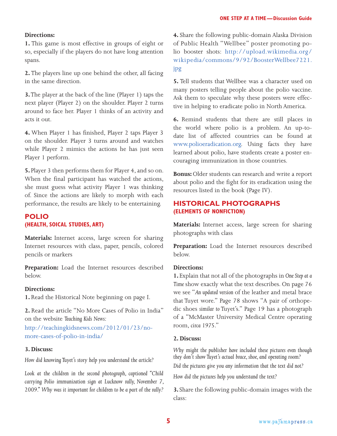#### **Directions:**

**1.** This game is most effective in groups of eight or so, especially if the players do not have long attention spans.

**2.** The players line up one behind the other, all facing in the same direction.

**3.** The player at the back of the line (Player 1) taps the next player (Player 2) on the shoulder. Player 2 turns around to face her. Player 1 thinks of an activity and acts it out.

**4.** When Player 1 has finished, Player 2 taps Player 3 on the shoulder. Player 3 turns around and watches while Player 2 mimics the actions he has just seen Player 1 perform.

**5.** Player 3 then performs them for Player 4, and so on. When the final participant has watched the actions, she must guess what activity Player 1 was thinking of. Since the actions are likely to morph with each performance, the results are likely to be entertaining.

# **POLIO (HEALTH, SOICAL STUDIES, ART)**

**Materials:** Internet access, large screen for sharing Internet resources with class, paper, pencils, colored pencils or markers

**Preparation:** Load the Internet resources described below.

#### **Directions:**

**1.** Read the Historical Note beginning on page I.

**2.** Read the article "No More Cases of Polio in India" on the website *Teaching Kids News:*

<http://teachingkidsnews.com/2012/01/23/no>more-cases-of-polio-in-india/

#### **3. Discuss:**

*How did knowing Tuyet's story help you understand the article?*

Look at the children in the second photograph, captioned "Child *carrying Polio immunization sign at Lucknow rally, November 7, 2009." Why was it important for children to be a part of the rally?*

**4.** Share the following public-domain Alaska Division of Public Health "Wellbee" poster promoting polio booster shots: [http://upload.wikimedia.org/](http://upload.wikimedia.org/wikipedia/commons/9/92/BoosterWellbee7221.jpg) [wikipedia/commons/9/92/BoosterWellbee7221.](http://upload.wikimedia.org/wikipedia/commons/9/92/BoosterWellbee7221.jpg) [jpg](http://upload.wikimedia.org/wikipedia/commons/9/92/BoosterWellbee7221.jpg)

**5.** Tell students that Wellbee was a character used on many posters telling people about the polio vaccine. Ask them to speculate why these posters were effective in helping to eradicate polio in North America.

**6.** Remind students that there are still places in the world where polio is a problem. An up-todate list of affected countries can be found at [www.polioeradication.org.](www.polioeradication.org) Using facts they have learned about polio, have students create a poster encouraging immunization in those countries.

**Bonus:** Older students can research and write a report about polio and the fight for its eradication using the resources listed in the book (Page IV).

# **HISTORICAL PHOTOGRAPHS (ELEMENTS OF NONFICTION)**

**Materials:** Internet access, large screen for sharing photographs with class

**Preparation:** Load the Internet resources described below.

#### **Directions:**

**1.** Explain that not all of the photographs in *One Step at a Time* show exactly what the text describes. On page 76 we see "*An updated version* of the leather and metal brace that Tuyet wore." Page 78 shows "A pair of orthopedic shoes *similar to* Tuyet's." Page 19 has a photograph of a "McMaster University Medical Centre operating room, *circa 1975*."

#### **2. Discuss:**

*Why might the publisher have included these pictures even though they don't show Tuyet's actual brace, shoe, and operating room?*

*Did the pictures give you any information that the text did not?*

*How did the pictures help you understand the text?*

**3.** Share the following public-domain images with the class: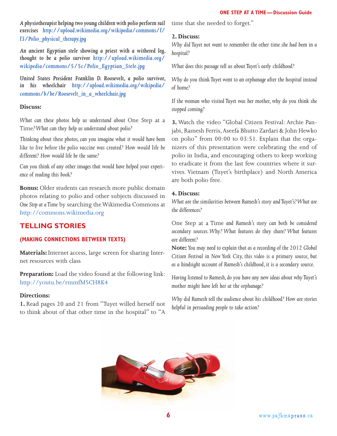*A physiotherapist helping two young children with polio perform rail exercises [http://upload.wikimedia.org/wikipedia/commons/f/](http://upload.wikimedia.org/wikipedia/commons/f/f3/Polio_physical_therapy.jpg) [f3/Polio\\_physical\\_therapy.jpg](http://upload.wikimedia.org/wikipedia/commons/f/f3/Polio_physical_therapy.jpg)*

*An ancient Egyptian stele showing a priest with a withered leg, thought to be a polio survivor [http://upload.wikimedia.org/](http://upload.wikimedia.org/wikipedia/commons/5/5c/Polio_Egyptian_Stele.jpg) [wikipedia/commons/5/5c/Polio\\_Egyptian\\_Stele.jpg](http://upload.wikimedia.org/wikipedia/commons/5/5c/Polio_Egyptian_Stele.jpg)*

*United States President Franklin D. Roosevelt, a polio survivor, in his wheelchair [http://upload.wikimedia.org/wikipedia/](http://upload.wikimedia.org/wikipedia/commons/b/be/Roosevelt_in_a_wheelchair.jpg) [commons/b/be/Roosevelt\\_in\\_a\\_wheelchair.jpg](http://upload.wikimedia.org/wikipedia/commons/b/be/Roosevelt_in_a_wheelchair.jpg)*

#### **Discuss:**

*What can these photos help us understand about* One Step at a Time*? What can they help us understand about polio?*

*Thinking about these photos, can you imagine what it would have been like to live before the polio vaccine was created? How would life be different? How would life be the same?*

*Can you think of any other images that would have helped your experience of reading this book?*

**Bonus:** Older students can research more public domain photos relating to polio and other subjects discussed in *One Step at a Time* by searching the Wikimedia Commons at <http://commons.wikimedia.org>

# **TELLING STORIES**

# **(MAKING CONNECTIONS BETWEEN TEXTS)**

**Materials:** Internet access, large screen for sharing Internet resources with class

**Preparation:** Load the video found at the following link: <http://youtu.be/rmmfM5CH8K4>

#### **Directions:**

**1.** Read pages 20 and 21 from "Tuyet willed herself not to think about of that other time in the hospital" to "A

time that she needed to forget."

# **2. Discuss:**

*Why did Tuyet not want to remember the other time she had been in a hospital?*

*What does this passage tell us about Tuyet's early childhood?*

*Why do you think Tuyet went to an orphanage after the hospital instead of home?*

*If the woman who visited Tuyet was her mother, why do you think she stopped coming?* 

**3.** Watch the video "Global Citizen Festival: Archie Panjabi, Ramesh Ferris, Aseefa Bhutto Zardari & John Hewko on polio" from 00:00 to 03:51. Explain that the organizers of this presentation were celebrating the end of polio in India, and encouraging others to keep working to eradicate it from the last few countries where it survives. Vietnam (Tuyet's birthplace) and North America are both polio free.

#### **4. Discuss:**

*What are the similarities between Ramesh's story and Tuyet's? What are the differences?* 

One Step at a Time *and Ramesh's story can both be considered secondary sources. Why? What features do they share? What features are different?* 

**Note:** *You may need to explain that as a recording of the 2012 Global Citizen Festival in New York City, this video is a primary source, but as a hindsight account of Ramesh's childhood, it is a secondary source.*

*Having listened to Ramesh, do you have any new ideas about why Tuyet's mother might have left her at the orphanage?*

*Why did Ramesh tell the audience about his childhood? How are stories helpful in persuading people to take action?*

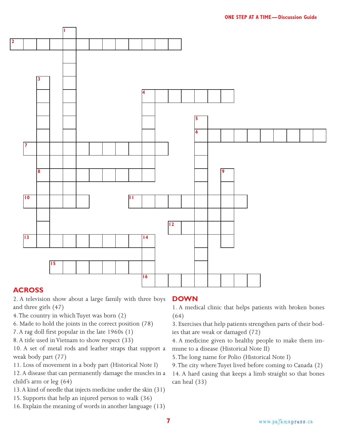

# **ACROSS**

**2**

2. A television show about a large family with three boys and three girls (47)

- 4. The country in which Tuyet was born (2)
- 6. Made to hold the joints in the correct position (78)
- 7. A rag doll first popular in the late 1960s (1)
- 8. A title used in Vietnam to show respect (33)

10. A set of metal rods and leather straps that support a weak body part (77)

11. Loss of movement in a body part (Historical Note I)

12. A disease that can permanently damage the muscles in a child's arm or leg (64)

- 13. A kind of needle that injects medicine under the skin (31)
- 15. Supports that help an injured person to walk (36)
- 16. Explain the meaning of words in another language (13)

# **DOWN**

1. A medical clinic that helps patients with broken bones (64)

3. Exercises that help patients strengthen parts of their bodies that are weak or damaged (72)

4. A medicine given to healthy people to make them immune to a disease (Historical Note II)

5. The long name for Polio (Historical Note I)

9. The city where Tuyet lived before coming to Canada (2) 14. A hard casing that keeps a limb straight so that bones can heal (33)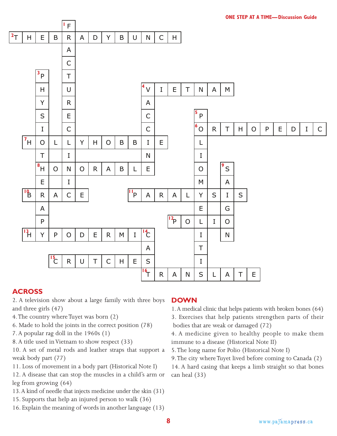

# **ACROSS**

2. A television show about a large family with three boys and three girls (47)

- 4. The country where Tuyet was born (2)
- 6. Made to hold the joints in the correct position (78)
- 7. A popular rag doll in the 1960s (1)
- 8. A title used in Vietnam to show respect (33)

10. A set of metal rods and leather straps that support a weak body part (77)

11. Loss of movement in a body part (Historical Note I)

12. A disease that can stop the muscles in a child's arm or leg from growing (64)

- 13. A kind of needle that injects medicine under the skin (31)
- 15. Supports that help an injured person to walk (36)
- 16. Explain the meaning of words in another language (13)

# **DOWN**

1. A medical clinic that helps patients with broken bones (64) 3. Exercises that help patients strengthen parts of their bodies that are weak or damaged (72)

4. A medicine given to healthy people to make them immune to a disease (Historical Note II)

5. The long name for Polio (Historical Note I)

9. The city where Tuyet lived before coming to Canada (2) 14. A hard casing that keeps a limb straight so that bones can heal (33)

**8**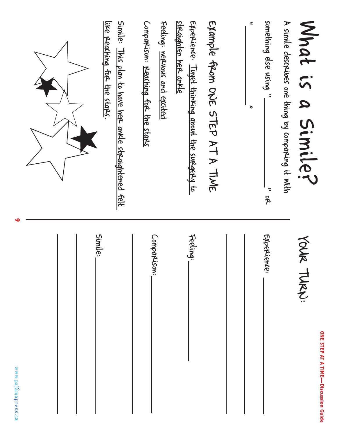| What is a Similer                                                                      | Your<br>TURN:<br><b>ONE STEP AT A TIME—Discussion Guide</b> |
|----------------------------------------------------------------------------------------|-------------------------------------------------------------|
| A simile describes one thing by comparing it with                                      |                                                             |
| something else using "<br>$\beta$                                                      | EXpercience:                                                |
| $\tilde{\cdot}$<br>$\tilde{\phantom{a}}$                                               |                                                             |
|                                                                                        |                                                             |
| Example from ONE STEP AT A TIME                                                        |                                                             |
| straighten her ankle<br>Experience: Tuyet thinking about the surgery to                | Feeling:                                                    |
| Comparison: <u>Reaching for the stars</u><br>Feeling: negwous and excited              | Comparison:                                                 |
| Simile: This plan to have here ankle straightened felt<br>like reaching for the stars. | Simile:                                                     |
|                                                                                        |                                                             |
|                                                                                        |                                                             |

www.pafamapress.ca

**9**